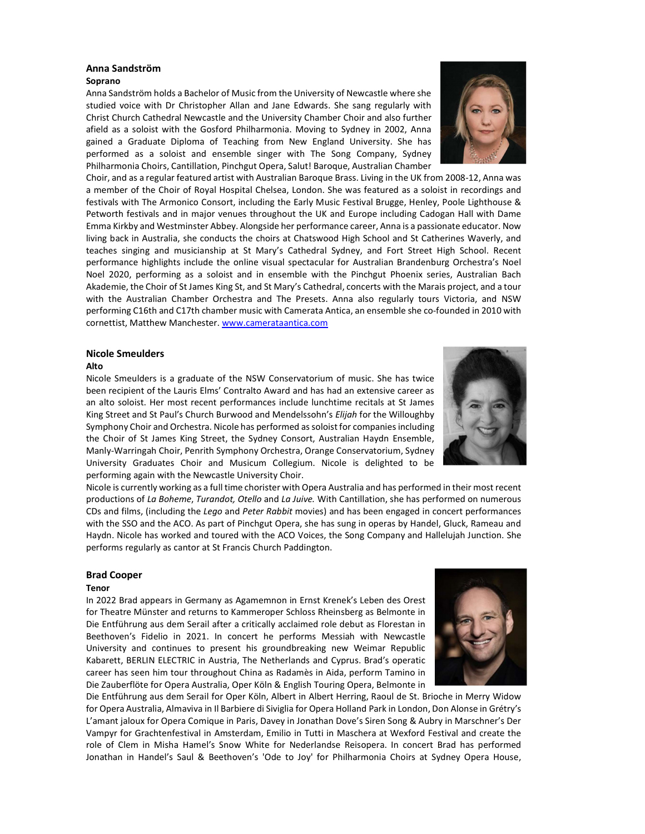# Anna Sandström

# Soprano

Anna Sandström holds a Bachelor of Music from the University of Newcastle where she studied voice with Dr Christopher Allan and Jane Edwards. She sang regularly with Christ Church Cathedral Newcastle and the University Chamber Choir and also further afield as a soloist with the Gosford Philharmonia. Moving to Sydney in 2002, Anna gained a Graduate Diploma of Teaching from New England University. She has performed as a soloist and ensemble singer with The Song Company, Sydney Philharmonia Choirs, Cantillation, Pinchgut Opera, Salut! Baroque, Australian Chamber



Choir, and as a regular featured artist with Australian Baroque Brass. Living in the UK from 2008-12, Anna was a member of the Choir of Royal Hospital Chelsea, London. She was featured as a soloist in recordings and festivals with The Armonico Consort, including the Early Music Festival Brugge, Henley, Poole Lighthouse & Petworth festivals and in major venues throughout the UK and Europe including Cadogan Hall with Dame Emma Kirkby and Westminster Abbey. Alongside her performance career, Anna is a passionate educator. Now living back in Australia, she conducts the choirs at Chatswood High School and St Catherines Waverly, and teaches singing and musicianship at St Mary's Cathedral Sydney, and Fort Street High School. Recent performance highlights include the online visual spectacular for Australian Brandenburg Orchestra's Noel Noel 2020, performing as a soloist and in ensemble with the Pinchgut Phoenix series, Australian Bach Akademie, the Choir of St James King St, and St Mary's Cathedral, concerts with the Marais project, and a tour with the Australian Chamber Orchestra and The Presets. Anna also regularly tours Victoria, and NSW performing C16th and C17th chamber music with Camerata Antica, an ensemble she co-founded in 2010 with cornettist, Matthew Manchester. www.camerataantica.com

### Nicole Smeulders

#### Alto

Nicole Smeulders is a graduate of the NSW Conservatorium of music. She has twice been recipient of the Lauris Elms' Contralto Award and has had an extensive career as an alto soloist. Her most recent performances include lunchtime recitals at St James King Street and St Paul's Church Burwood and Mendelssohn's Elijah for the Willoughby Symphony Choir and Orchestra. Nicole has performed as soloist for companies including the Choir of St James King Street, the Sydney Consort, Australian Haydn Ensemble, Manly-Warringah Choir, Penrith Symphony Orchestra, Orange Conservatorium, Sydney University Graduates Choir and Musicum Collegium. Nicole is delighted to be performing again with the Newcastle University Choir.



Nicole is currently working as a full time chorister with Opera Australia and has performed in their most recent productions of La Boheme, Turandot, Otello and La Juive. With Cantillation, she has performed on numerous CDs and films, (including the Lego and Peter Rabbit movies) and has been engaged in concert performances with the SSO and the ACO. As part of Pinchgut Opera, she has sung in operas by Handel, Gluck, Rameau and Haydn. Nicole has worked and toured with the ACO Voices, the Song Company and Hallelujah Junction. She performs regularly as cantor at St Francis Church Paddington.

### Brad Cooper

#### Tenor

In 2022 Brad appears in Germany as Agamemnon in Ernst Krenek's Leben des Orest for Theatre Münster and returns to Kammeroper Schloss Rheinsberg as Belmonte in Die Entführung aus dem Serail after a critically acclaimed role debut as Florestan in Beethoven's Fidelio in 2021. In concert he performs Messiah with Newcastle University and continues to present his groundbreaking new Weimar Republic Kabarett, BERLIN ELECTRIC in Austria, The Netherlands and Cyprus. Brad's operatic career has seen him tour throughout China as Radamès in Aida, perform Tamino in Die Zauberflöte for Opera Australia, Oper Köln & English Touring Opera, Belmonte in



Die Entführung aus dem Serail for Oper Köln, Albert in Albert Herring, Raoul de St. Brioche in Merry Widow for Opera Australia, Almaviva in Il Barbiere di Siviglia for Opera Holland Park in London, Don Alonse in Grétry's L'amant jaloux for Opera Comique in Paris, Davey in Jonathan Dove's Siren Song & Aubry in Marschner's Der Vampyr for Grachtenfestival in Amsterdam, Emilio in Tutti in Maschera at Wexford Festival and create the role of Clem in Misha Hamel's Snow White for Nederlandse Reisopera. In concert Brad has performed Jonathan in Handel's Saul & Beethoven's 'Ode to Joy' for Philharmonia Choirs at Sydney Opera House,